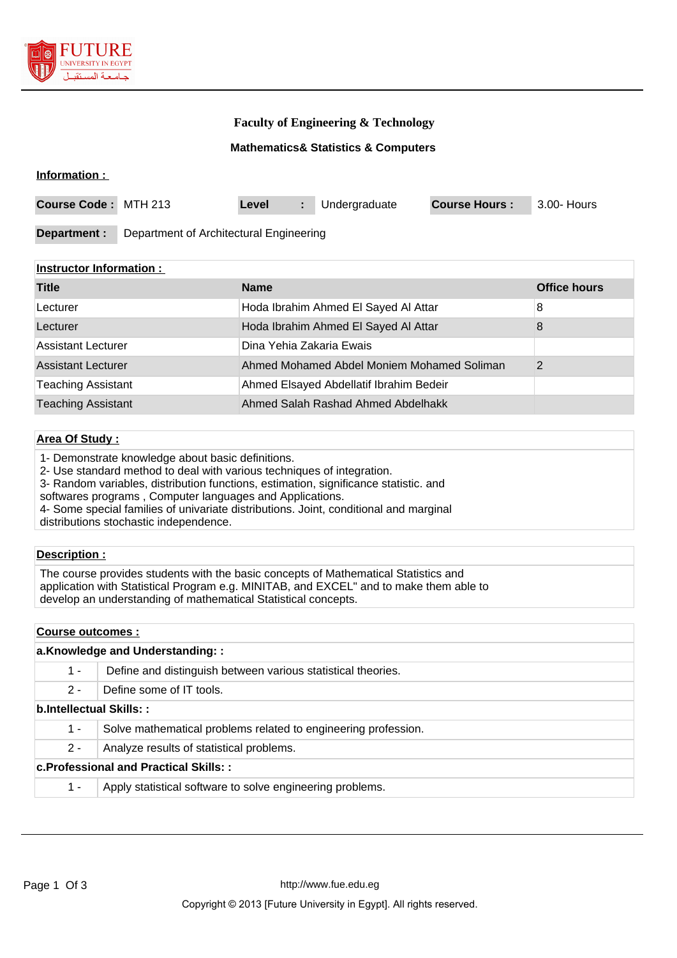

## **Faculty of Engineering & Technology**

### **Mathematics& Statistics & Computers**

#### **Information :**

| <b>Course Code: MTH 213</b> |                                         | Level | Undergraduate | <b>Course Hours:</b> | 3.00- Hours |
|-----------------------------|-----------------------------------------|-------|---------------|----------------------|-------------|
|                             |                                         |       |               |                      |             |
| Department :                | Department of Architectural Engineering |       |               |                      |             |

#### **Instructor Information :**

| <b>Title</b>              | <b>Name</b>                                | <b>Office hours</b> |
|---------------------------|--------------------------------------------|---------------------|
| Lecturer                  | Hoda Ibrahim Ahmed El Sayed Al Attar       | 8                   |
| Lecturer                  | Hoda Ibrahim Ahmed El Sayed Al Attar       | 8                   |
| <b>Assistant Lecturer</b> | Dina Yehia Zakaria Ewais                   |                     |
| <b>Assistant Lecturer</b> | Ahmed Mohamed Abdel Moniem Mohamed Soliman | 2                   |
| <b>Teaching Assistant</b> | Ahmed Elsayed Abdellatif Ibrahim Bedeir    |                     |
| <b>Teaching Assistant</b> | Ahmed Salah Rashad Ahmed Abdelhakk         |                     |

#### **Area Of Study :**

1- Demonstrate knowledge about basic definitions.

2- Use standard method to deal with various techniques of integration.

3- Random variables, distribution functions, estimation, significance statistic. and

softwares programs , Computer languages and Applications.

4- Some special families of univariate distributions. Joint, conditional and marginal distributions stochastic independence.

#### **Description :**

The course provides students with the basic concepts of Mathematical Statistics and application with Statistical Program e.g. MINITAB, and EXCEL" and to make them able to develop an understanding of mathematical Statistical concepts.

#### **Course outcomes :**

|                         | a.Knowledge and Understanding::                                |
|-------------------------|----------------------------------------------------------------|
| 1 -                     | Define and distinguish between various statistical theories.   |
| $2 -$                   | Define some of IT tools.                                       |
| b.Intellectual Skills:: |                                                                |
| 1 -                     | Solve mathematical problems related to engineering profession. |
| $2 -$                   | Analyze results of statistical problems.                       |
|                         | <b>c.Professional and Practical Skills::</b>                   |
| 1 -                     | Apply statistical software to solve engineering problems.      |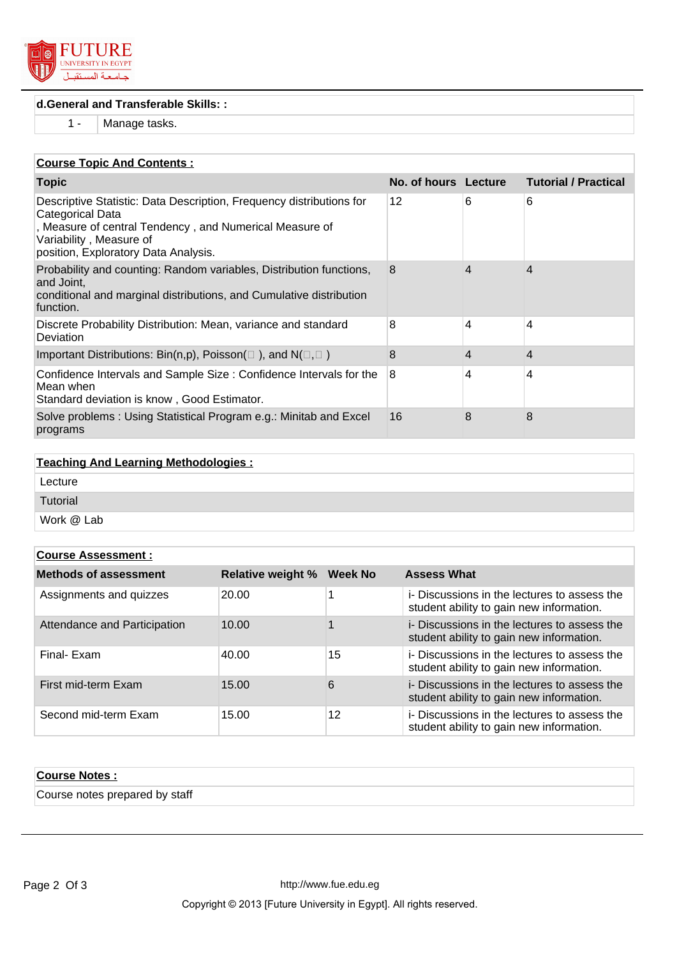

## **d.General and Transferable Skills: :**

1 - Manage tasks.

## **Course Topic And Contents :**

| <b>Topic</b>                                                                                                                                                                                                           | No. of hours Lecture |   | <b>Tutorial / Practical</b> |
|------------------------------------------------------------------------------------------------------------------------------------------------------------------------------------------------------------------------|----------------------|---|-----------------------------|
| Descriptive Statistic: Data Description, Frequency distributions for<br>Categorical Data<br>, Measure of central Tendency, and Numerical Measure of<br>Variability, Measure of<br>position, Exploratory Data Analysis. | 12                   | 6 | 6                           |
| Probability and counting: Random variables, Distribution functions,<br>and Joint,<br>conditional and marginal distributions, and Cumulative distribution<br>function.                                                  | 8                    | 4 | 4                           |
| Discrete Probability Distribution: Mean, variance and standard<br>Deviation                                                                                                                                            | 8                    | 4 | 4                           |
| Important Distributions: Bin(n,p), Poisson( $\Box$ ), and N( $\Box$ , $\Box$ )                                                                                                                                         | 8                    | 4 | 4                           |
| Confidence Intervals and Sample Size: Confidence Intervals for the<br>Mean when<br>Standard deviation is know, Good Estimator.                                                                                         | 8                    | 4 | 4                           |
| Solve problems: Using Statistical Program e.g.: Minitab and Excel<br>programs                                                                                                                                          | 16                   | 8 | 8                           |

| <b>Teaching And Learning Methodologies:</b> |  |
|---------------------------------------------|--|
| Lecture                                     |  |
| Tutorial                                    |  |
| Work @ Lab                                  |  |

| <b>Course Assessment:</b>    |                          |                |                                                                                          |  |
|------------------------------|--------------------------|----------------|------------------------------------------------------------------------------------------|--|
| <b>Methods of assessment</b> | <b>Relative weight %</b> | <b>Week No</b> | <b>Assess What</b>                                                                       |  |
| Assignments and quizzes      | 20.00                    |                | i- Discussions in the lectures to assess the<br>student ability to gain new information. |  |
| Attendance and Participation | 10.00                    |                | i- Discussions in the lectures to assess the<br>student ability to gain new information. |  |
| Final- Exam                  | 40.00                    | 15             | i- Discussions in the lectures to assess the<br>student ability to gain new information. |  |
| First mid-term Exam          | 15.00                    | 6              | i- Discussions in the lectures to assess the<br>student ability to gain new information. |  |
| Second mid-term Exam         | 15.00                    | 12             | i- Discussions in the lectures to assess the<br>student ability to gain new information. |  |

| <b>Course Notes:</b>           |  |
|--------------------------------|--|
| Course notes prepared by staff |  |